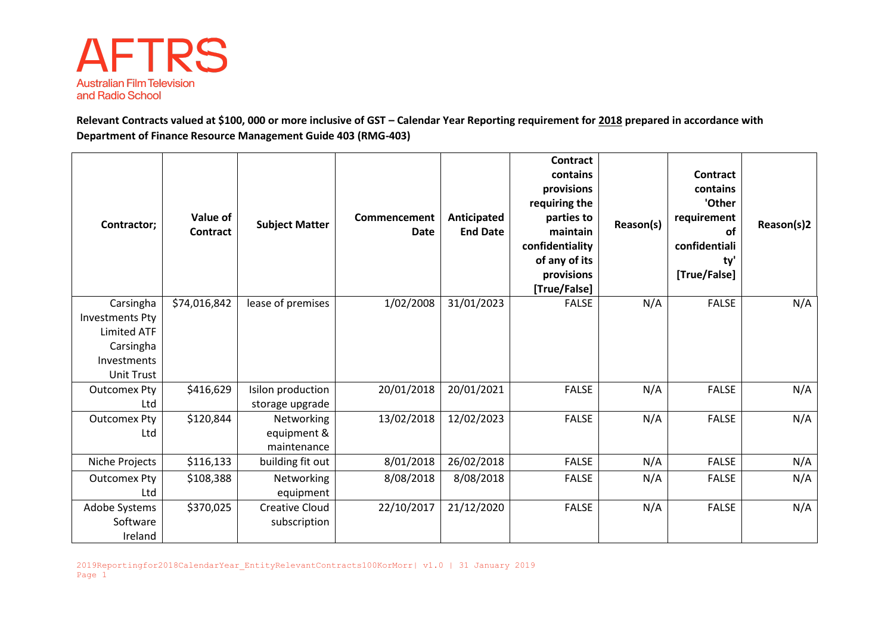

**Relevant Contracts valued at \$100, 000 or more inclusive of GST – Calendar Year Reporting requirement for 2018 prepared in accordance with Department of Finance Resource Management Guide 403 (RMG-403)**

| Contractor;                                                                                                | Value of<br>Contract | <b>Subject Matter</b>                    | Commencement<br><b>Date</b> | Anticipated<br><b>End Date</b> | Contract<br>contains<br>provisions<br>requiring the<br>parties to<br>maintain<br>confidentiality<br>of any of its<br>provisions<br>[True/False] | Reason(s) | Contract<br>contains<br>'Other<br>requirement<br>of<br>confidentiali<br>ty'<br>[True/False] | Reason(s)2 |
|------------------------------------------------------------------------------------------------------------|----------------------|------------------------------------------|-----------------------------|--------------------------------|-------------------------------------------------------------------------------------------------------------------------------------------------|-----------|---------------------------------------------------------------------------------------------|------------|
| Carsingha<br><b>Investments Pty</b><br><b>Limited ATF</b><br>Carsingha<br>Investments<br><b>Unit Trust</b> | \$74,016,842         | lease of premises                        | 1/02/2008                   | 31/01/2023                     | <b>FALSE</b>                                                                                                                                    | N/A       | <b>FALSE</b>                                                                                | N/A        |
| <b>Outcomex Pty</b><br>Ltd                                                                                 | \$416,629            | Isilon production<br>storage upgrade     | 20/01/2018                  | 20/01/2021                     | <b>FALSE</b>                                                                                                                                    | N/A       | <b>FALSE</b>                                                                                | N/A        |
| <b>Outcomex Pty</b><br>Ltd                                                                                 | \$120,844            | Networking<br>equipment &<br>maintenance | 13/02/2018                  | 12/02/2023                     | <b>FALSE</b>                                                                                                                                    | N/A       | <b>FALSE</b>                                                                                | N/A        |
| Niche Projects                                                                                             | \$116,133            | building fit out                         | 8/01/2018                   | 26/02/2018                     | FALSE                                                                                                                                           | N/A       | <b>FALSE</b>                                                                                | N/A        |
| <b>Outcomex Pty</b><br>Ltd                                                                                 | \$108,388            | Networking<br>equipment                  | 8/08/2018                   | 8/08/2018                      | <b>FALSE</b>                                                                                                                                    | N/A       | <b>FALSE</b>                                                                                | N/A        |
| Adobe Systems<br>Software<br>Ireland                                                                       | \$370,025            | <b>Creative Cloud</b><br>subscription    | 22/10/2017                  | 21/12/2020                     | <b>FALSE</b>                                                                                                                                    | N/A       | <b>FALSE</b>                                                                                | N/A        |